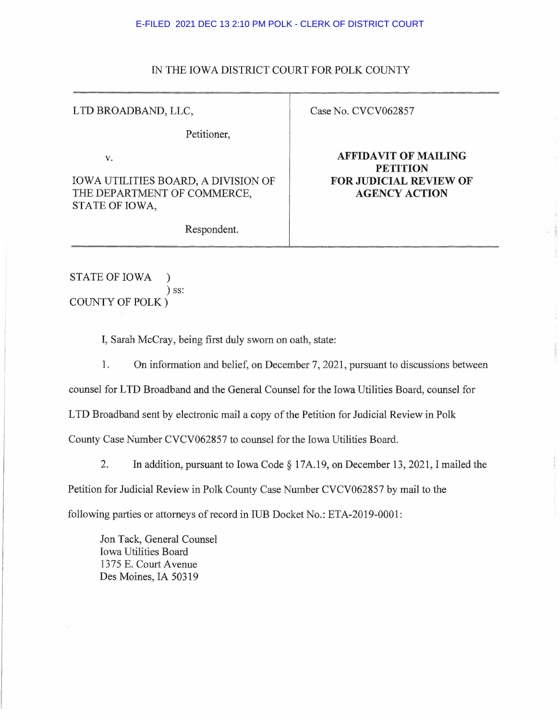## E-FILED 2021 DEC 13 2:10 PM POLK - CLERK OF DISTRICT COURT

## IN THE IOWA DISTRICT COURT FOR POLK COUNTY

## LTD BROADBAND, LLC,

Petitioner,

V.

IOWA UTILITIES BOARD, A DIVISION OF THE DEPARTMENT OF COMMERCE, STATE OF IOWA,

Case No. CVCV062857

**AFFIDAVIT OF MAILING PETITION FOR JUDICIAL REVIEW OF AGENCY ACTION** 

Respondent.

STATE OF IOWA ) ) ss: COUNTY OF POLK)

I, Sarah McCray, being first duly sworn on oath, state:

1. On information and belief, on December 7, 2021, pursuant to discussions between

counsel for LTD Broadband and the General Counsel for the Iowa Utilities Board, counsel for

LTD Broadband sent by electronic mail a copy of the Petition for Judicial Review in Polk

County Case Number CVCV062857 to counsel for the Iowa Utilities Board.

2. In addition, pursuant to Iowa Code § 17A.19, on December 13, 2021, I mailed the Petition for Judicial Review in Polk County Case Number CVCV062857 by mail to the following parties or attorneys of record in IUB Docket No.: ETA-2019-0001:

Jon Tack, General Counsel Iowa Utilities Board 1375 E. Court Avenue Des Moines, IA 50319